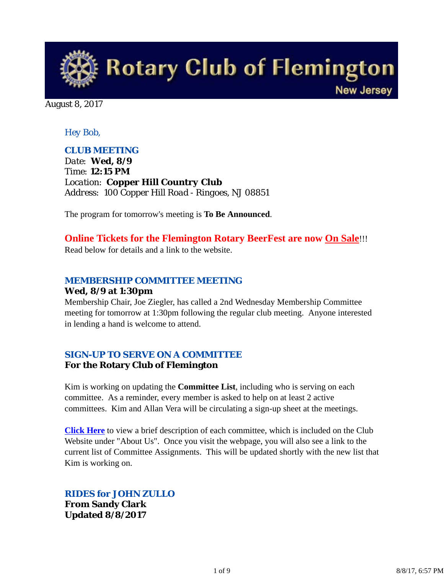

August 8, 2017

## *Hey Bob,*

## *CLUB MEETING*

*Date: Wed, 8/9 Time: 12:15 PM Location: Copper Hill Country Club Address: 100 Copper Hill Road - Ringoes, NJ 08851*

The program for tomorrow's meeting is **To Be Announced**.

## **Online Tickets for the Flemington Rotary BeerFest are now On Sale**!!!

Read below for details and a link to the website.

## *MEMBERSHIP COMMITTEE MEETING*

#### **Wed, 8/9 at 1:30pm**

Membership Chair, Joe Ziegler, has called a 2nd Wednesday Membership Committee meeting for tomorrow at 1:30pm following the regular club meeting. Anyone interested in lending a hand is welcome to attend.

## *SIGN-UP TO SERVE ON A COMMITTEE*

### **For the Rotary Club of Flemington**

Kim is working on updating the **Committee List**, including who is serving on each committee. As a reminder, every member is asked to help on at least 2 active committees. Kim and Allan Vera will be circulating a sign-up sheet at the meetings.

**Click Here** to view a brief description of each committee, which is included on the Club Website under "About Us". Once you visit the webpage, you will also see a link to the current list of Committee Assignments. This will be updated shortly with the new list that Kim is working on.

# *RIDES for JOHN ZULLO*

**From Sandy Clark Updated 8/8/2017**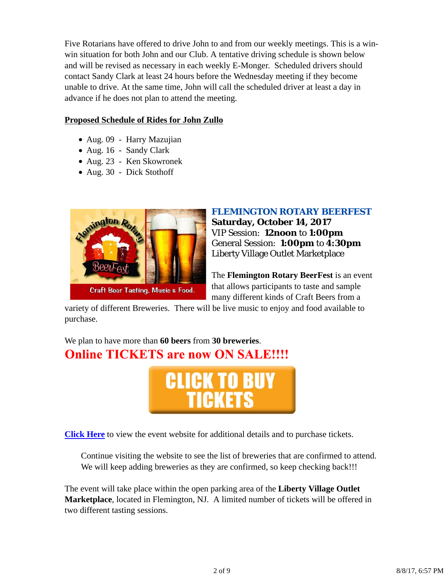Five Rotarians have offered to drive John to and from our weekly meetings. This is a winwin situation for both John and our Club. A tentative driving schedule is shown below and will be revised as necessary in each weekly E-Monger. Scheduled drivers should contact Sandy Clark at least 24 hours before the Wednesday meeting if they become unable to drive. At the same time, John will call the scheduled driver at least a day in advance if he does not plan to attend the meeting.

### **Proposed Schedule of Rides for John Zullo**

- Aug. 09 Harry Mazujian
- Aug. 16 Sandy Clark
- Aug. 23 Ken Skowronek
- Aug. 30 Dick Stothoff



## *FLEMINGTON ROTARY BEERFEST* **Saturday, October 14, 2017** VIP Session: **12noon** to **1:00pm** General Session: **1:00pm** to **4:30pm** Liberty Village Outlet Marketplace

The **Flemington Rotary BeerFest** is an event that allows participants to taste and sample many different kinds of Craft Beers from a

variety of different Breweries. There will be live music to enjoy and food available to purchase.

We plan to have more than **60 beers** from **30 breweries**. **Online TICKETS are now ON SALE!!!!** 



**Click Here** to view the event website for additional details and to purchase tickets.

Continue visiting the website to see the list of breweries that are confirmed to attend. We will keep adding breweries as they are confirmed, so keep checking back!!!

The event will take place within the open parking area of the **Liberty Village Outlet Marketplace**, located in Flemington, NJ. A limited number of tickets will be offered in two different tasting sessions.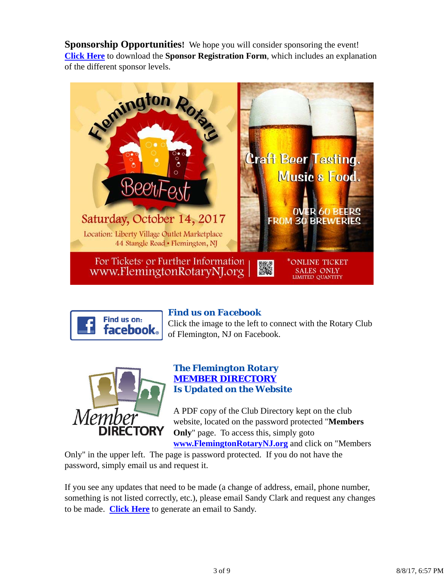**Sponsorship Opportunities!** We hope you will consider sponsoring the event! **Click Here** to download the **Sponsor Registration Form**, which includes an explanation of the different sponsor levels.





# *Find us on Facebook*

Click the image to the left to connect with the Rotary Club of Flemington, NJ on Facebook.



### *The Flemington Rotary MEMBER DIRECTORY Is Updated on the Website*

A PDF copy of the Club Directory kept on the club website, located on the password protected "**Members Only**" page. To access this, simply goto **www.FlemingtonRotaryNJ.org** and click on "Members

Only" in the upper left. The page is password protected. If you do not have the password, simply email us and request it.

If you see any updates that need to be made (a change of address, email, phone number, something is not listed correctly, etc.), please email Sandy Clark and request any changes to be made. **Click Here** to generate an email to Sandy.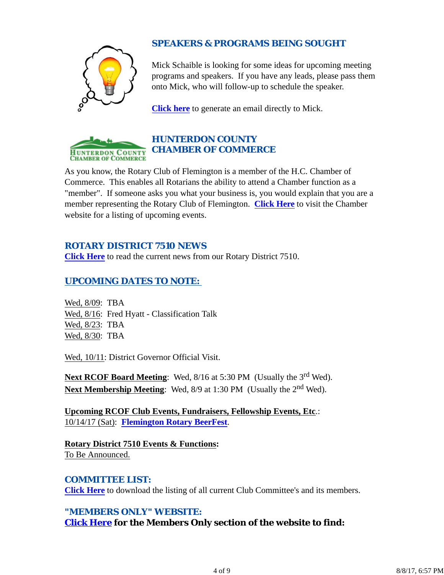

# *SPEAKERS & PROGRAMS BEING SOUGHT*

Mick Schaible is looking for some ideas for upcoming meeting programs and speakers. If you have any leads, please pass them onto Mick, who will follow-up to schedule the speaker.

**Click here** to generate an email directly to Mick.



# *HUNTERDON COUNTY CHAMBER OF COMMERCE*

As you know, the Rotary Club of Flemington is a member of the H.C. Chamber of Commerce. This enables all Rotarians the ability to attend a Chamber function as a "member". If someone asks you what your business is, you would explain that you are a member representing the Rotary Club of Flemington. **Click Here** to visit the Chamber website for a listing of upcoming events.

## *ROTARY DISTRICT 7510 NEWS*

**Click Here** to read the current news from our Rotary District 7510.

# *UPCOMING DATES TO NOTE:*

Wed, 8/09: TBA Wed, 8/16: Fred Hyatt - Classification Talk Wed, 8/23: TBA Wed, 8/30: TBA

Wed, 10/11: District Governor Official Visit.

Next RCOF Board Meeting: Wed, 8/16 at 5:30 PM (Usually the 3<sup>rd</sup> Wed). **Next Membership Meeting:** Wed, 8/9 at 1:30 PM (Usually the 2<sup>nd</sup> Wed).

**Upcoming RCOF Club Events, Fundraisers, Fellowship Events, Etc**.: 10/14/17 (Sat): **Flemington Rotary BeerFest**.

**Rotary District 7510 Events & Functions:** To Be Announced.

## *COMMITTEE LIST:*

**Click Here** to download the listing of all current Club Committee's and its members.

# *"MEMBERS ONLY" WEBSITE:*

**Click Here for the Members Only section of the website to find:**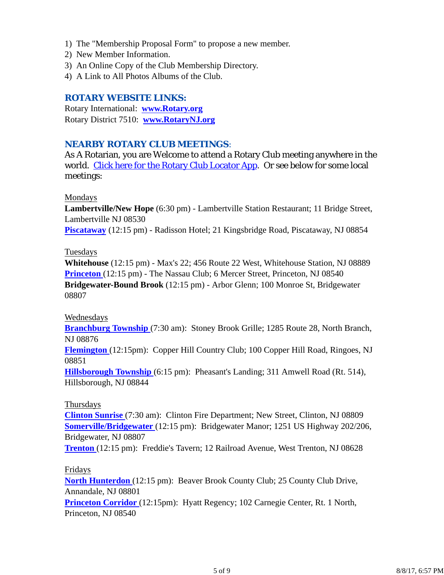- 1) The "Membership Proposal Form" to propose a new member.
- 2) New Member Information.
- 3) An Online Copy of the Club Membership Directory.
- 4) A Link to All Photos Albums of the Club.

## *ROTARY WEBSITE LINKS:*

Rotary International: **www.Rotary.org** Rotary District 7510: **www.RotaryNJ.org**

### *NEARBY ROTARY CLUB MEETINGS:*

As A Rotarian, you are Welcome to attend a Rotary Club meeting anywhere in the world. Click here for the Rotary Club Locator App. Or see below for some local meetings:

#### Mondays

**Lambertville/New Hope** (6:30 pm) - Lambertville Station Restaurant; 11 Bridge Street, Lambertville NJ 08530

**Piscataway** (12:15 pm) - Radisson Hotel; 21 Kingsbridge Road, Piscataway, NJ 08854

#### Tuesdays

**Whitehouse** (12:15 pm) - Max's 22; 456 Route 22 West, Whitehouse Station, NJ 08889 **Princeton** (12:15 pm) - The Nassau Club; 6 Mercer Street, Princeton, NJ 08540 **Bridgewater-Bound Brook** (12:15 pm) - Arbor Glenn; 100 Monroe St, Bridgewater 08807

#### Wednesdays

**Branchburg Township** (7:30 am): Stoney Brook Grille; 1285 Route 28, North Branch, NJ 08876

**Flemington** (12:15pm): Copper Hill Country Club; 100 Copper Hill Road, Ringoes, NJ 08851

**Hillsborough Township** (6:15 pm): Pheasant's Landing; 311 Amwell Road (Rt. 514), Hillsborough, NJ 08844

### Thursdays

**Clinton Sunrise** (7:30 am): Clinton Fire Department; New Street, Clinton, NJ 08809 **Somerville/Bridgewater** (12:15 pm): Bridgewater Manor; 1251 US Highway 202/206, Bridgewater, NJ 08807

**Trenton** (12:15 pm): Freddie's Tavern; 12 Railroad Avenue, West Trenton, NJ 08628

#### Fridays

**North Hunterdon** (12:15 pm): Beaver Brook County Club; 25 County Club Drive, Annandale, NJ 08801

**Princeton Corridor** (12:15pm): Hyatt Regency; 102 Carnegie Center, Rt. 1 North, Princeton, NJ 08540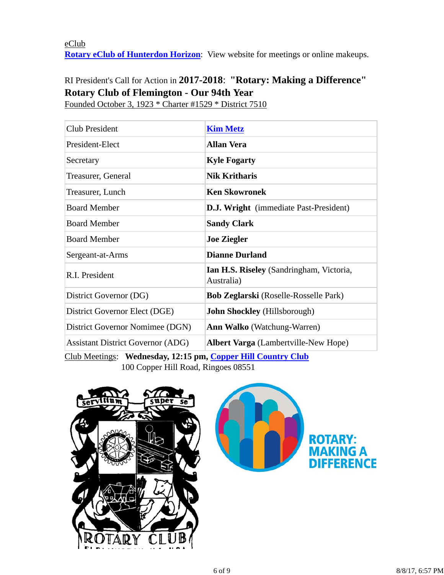## eClub **Rotary eClub of Hunterdon Horizon**: View website for meetings or online makeups.

# RI President's Call for Action in **2017-2018**: **"Rotary: Making a Difference" Rotary Club of Flemington - Our 94th Year**

Founded October 3, 1923 \* Charter #1529 \* District 7510

| Club President                                                                          | <b>Kim Metz</b>                                                      |  |
|-----------------------------------------------------------------------------------------|----------------------------------------------------------------------|--|
| President-Elect                                                                         | <b>Allan Vera</b>                                                    |  |
| Secretary                                                                               | <b>Kyle Fogarty</b>                                                  |  |
| Treasurer, General                                                                      | <b>Nik Kritharis</b>                                                 |  |
| Treasurer, Lunch                                                                        | <b>Ken Skowronek</b>                                                 |  |
| <b>Board Member</b>                                                                     | <b>D.J. Wright</b> (immediate Past-President)                        |  |
| <b>Board Member</b>                                                                     | <b>Sandy Clark</b>                                                   |  |
| <b>Board Member</b>                                                                     | <b>Joe Ziegler</b>                                                   |  |
| Sergeant-at-Arms                                                                        | <b>Dianne Durland</b>                                                |  |
| R.I. President                                                                          | Ian H.S. Riseley (Sandringham, Victoria,<br>Australia)               |  |
| District Governor (DG)                                                                  | <b>Bob Zeglarski</b> (Roselle-Rosselle Park)                         |  |
| District Governor Elect (DGE)                                                           | <b>John Shockley</b> (Hillsborough)                                  |  |
| District Governor Nomimee (DGN)                                                         | <b>Ann Walko</b> (Watchung-Warren)                                   |  |
| <b>Assistant District Governor (ADG)</b><br>$\alpha$ in the state of the state $\alpha$ | <b>Albert Varga</b> (Lambertville-New Hope)<br>$TTIII \cap I \cap N$ |  |

Club Meetings: **Wednesday, 12:15 pm, Copper Hill Country Club** 100 Copper Hill Road, Ringoes 08551



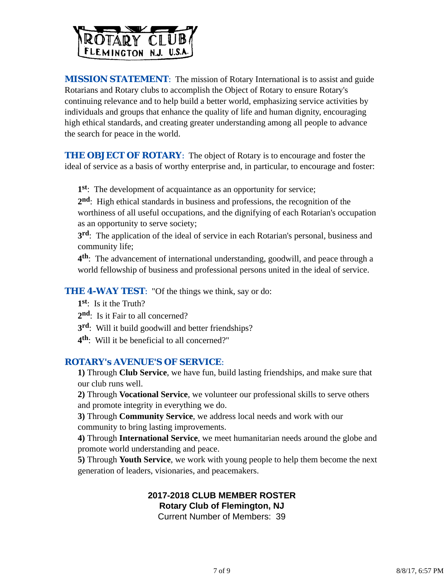

**MISSION STATEMENT:** The mission of Rotary International is to assist and guide Rotarians and Rotary clubs to accomplish the Object of Rotary to ensure Rotary's continuing relevance and to help build a better world, emphasizing service activities by individuals and groups that enhance the quality of life and human dignity, encouraging high ethical standards, and creating greater understanding among all people to advance the search for peace in the world.

**THE OBJECT OF ROTARY:** The object of Rotary is to encourage and foster the ideal of service as a basis of worthy enterprise and, in particular, to encourage and foster:

**1st**: The development of acquaintance as an opportunity for service;

**2nd**: High ethical standards in business and professions, the recognition of the worthiness of all useful occupations, and the dignifying of each Rotarian's occupation as an opportunity to serve society;

**3rd**: The application of the ideal of service in each Rotarian's personal, business and community life;

**4th**: The advancement of international understanding, goodwill, and peace through a world fellowship of business and professional persons united in the ideal of service.

### **THE 4-WAY TEST:** "Of the things we think, say or do:

**1st**: Is it the Truth?

2<sup>nd</sup>: Is it Fair to all concerned?

**3rd**: Will it build goodwill and better friendships?

**4th**: Will it be beneficial to all concerned?"

#### *ROTARY's AVENUE'S OF SERVICE*:

**1)** Through **Club Service**, we have fun, build lasting friendships, and make sure that our club runs well.

**2)** Through **Vocational Service**, we volunteer our professional skills to serve others and promote integrity in everything we do.

**3)** Through **Community Service**, we address local needs and work with our community to bring lasting improvements.

**4)** Through **International Service**, we meet humanitarian needs around the globe and promote world understanding and peace.

**5)** Through **Youth Service**, we work with young people to help them become the next generation of leaders, visionaries, and peacemakers.

### **2017-2018 CLUB MEMBER ROSTER Rotary Club of Flemington, NJ**

Current Number of Members: 39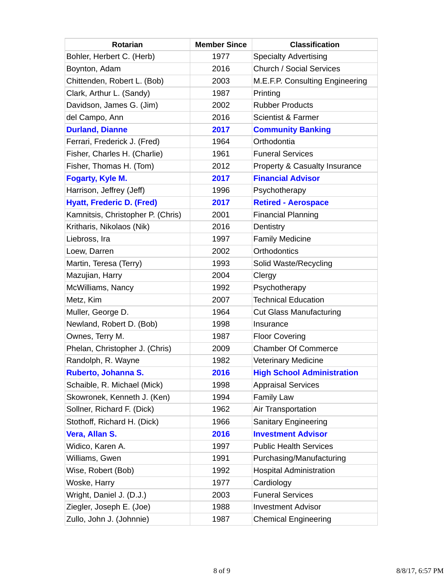| <b>Rotarian</b>                   | <b>Member Since</b> | <b>Classification</b>                    |
|-----------------------------------|---------------------|------------------------------------------|
| Bohler, Herbert C. (Herb)         | 1977                | <b>Specialty Advertising</b>             |
| Boynton, Adam                     | 2016                | <b>Church / Social Services</b>          |
| Chittenden, Robert L. (Bob)       | 2003                | M.E.F.P. Consulting Engineering          |
| Clark, Arthur L. (Sandy)          | 1987                | Printing                                 |
| Davidson, James G. (Jim)          | 2002                | <b>Rubber Products</b>                   |
| del Campo, Ann                    | 2016                | <b>Scientist &amp; Farmer</b>            |
| <b>Durland, Dianne</b>            | 2017                | <b>Community Banking</b>                 |
| Ferrari, Frederick J. (Fred)      | 1964                | Orthodontia                              |
| Fisher, Charles H. (Charlie)      | 1961                | <b>Funeral Services</b>                  |
| Fisher, Thomas H. (Tom)           | 2012                | <b>Property &amp; Casualty Insurance</b> |
| Fogarty, Kyle M.                  | 2017                | <b>Financial Advisor</b>                 |
| Harrison, Jeffrey (Jeff)          | 1996                | Psychotherapy                            |
| <b>Hyatt, Frederic D. (Fred)</b>  | 2017                | <b>Retired - Aerospace</b>               |
| Kamnitsis, Christopher P. (Chris) | 2001                | <b>Financial Planning</b>                |
| Kritharis, Nikolaos (Nik)         | 2016                | Dentistry                                |
| Liebross, Ira                     | 1997                | <b>Family Medicine</b>                   |
| Loew, Darren                      | 2002                | <b>Orthodontics</b>                      |
| Martin, Teresa (Terry)            | 1993                | Solid Waste/Recycling                    |
| Mazujian, Harry                   | 2004                | Clergy                                   |
| McWilliams, Nancy                 | 1992                | Psychotherapy                            |
| Metz, Kim                         | 2007                | <b>Technical Education</b>               |
| Muller, George D.                 | 1964                | <b>Cut Glass Manufacturing</b>           |
| Newland, Robert D. (Bob)          | 1998                | Insurance                                |
| Ownes, Terry M.                   | 1987                | <b>Floor Covering</b>                    |
| Phelan, Christopher J. (Chris)    | 2009                | <b>Chamber Of Commerce</b>               |
| Randolph, R. Wayne                | 1982                | <b>Veterinary Medicine</b>               |
| Ruberto, Johanna S.               | 2016                | <b>High School Administration</b>        |
| Schaible, R. Michael (Mick)       | 1998                | <b>Appraisal Services</b>                |
| Skowronek, Kenneth J. (Ken)       | 1994                | <b>Family Law</b>                        |
| Sollner, Richard F. (Dick)        | 1962                | Air Transportation                       |
| Stothoff, Richard H. (Dick)       | 1966                | <b>Sanitary Engineering</b>              |
| Vera, Allan S.                    | 2016                | <b>Investment Advisor</b>                |
| Widico, Karen A.                  | 1997                | <b>Public Health Services</b>            |
| Williams, Gwen                    | 1991                | Purchasing/Manufacturing                 |
| Wise, Robert (Bob)                | 1992                | <b>Hospital Administration</b>           |
| Woske, Harry                      | 1977                | Cardiology                               |
| Wright, Daniel J. (D.J.)          | 2003                | <b>Funeral Services</b>                  |
| Ziegler, Joseph E. (Joe)          | 1988                | <b>Investment Advisor</b>                |
| Zullo, John J. (Johnnie)          | 1987                | <b>Chemical Engineering</b>              |